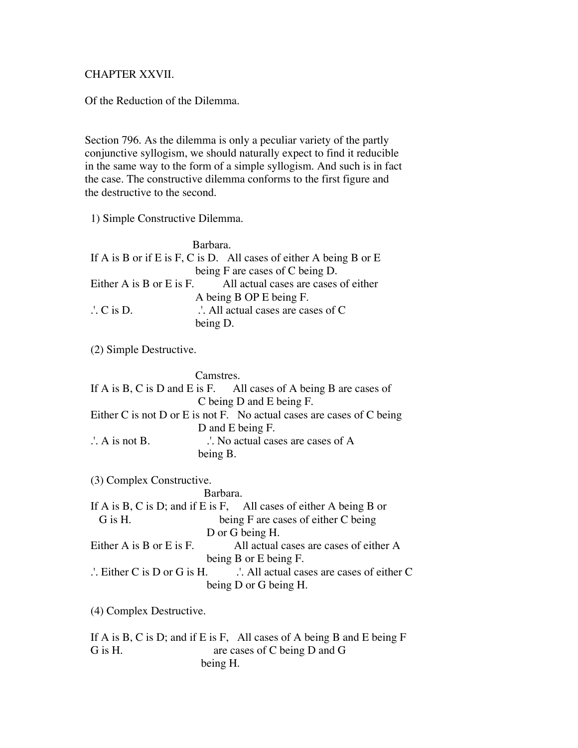## CHAPTER XXVII.

Of the Reduction of the Dilemma.

Section 796. As the dilemma is only a peculiar variety of the partly conjunctive syllogism, we should naturally expect to find it reducible in the same way to the form of a simple syllogism. And such is in fact the case. The constructive dilemma conforms to the first figure and the destructive to the second.

1) Simple Constructive Dilemma.

| Barbara.                        |                                                                        |
|---------------------------------|------------------------------------------------------------------------|
|                                 | If A is B or if E is F, C is D. All cases of either A being B or E     |
| being F are cases of C being D. |                                                                        |
|                                 | Either A is B or E is F. $\qquad$ All actual cases are cases of either |
| A being B OP E being F.         |                                                                        |
| $\therefore$ C is D.            | $\therefore$ All actual cases are cases of C                           |
| being D.                        |                                                                        |

(2) Simple Destructive.

| Camstres.                                                             |  |
|-----------------------------------------------------------------------|--|
| If A is B, C is D and E is F. All cases of A being B are cases of     |  |
| C being D and E being F.                                              |  |
| Either C is not D or E is not F. No actual cases are cases of C being |  |
| D and E being F.                                                      |  |
| No actual cases are cases of A<br>$\therefore$ A is not B.            |  |
| being B.                                                              |  |
|                                                                       |  |

(3) Complex Constructive.

(4) Complex Destructive.

 If A is B, C is D; and if E is F, All cases of A being B and E being F G is H. are cases of C being D and G being H.